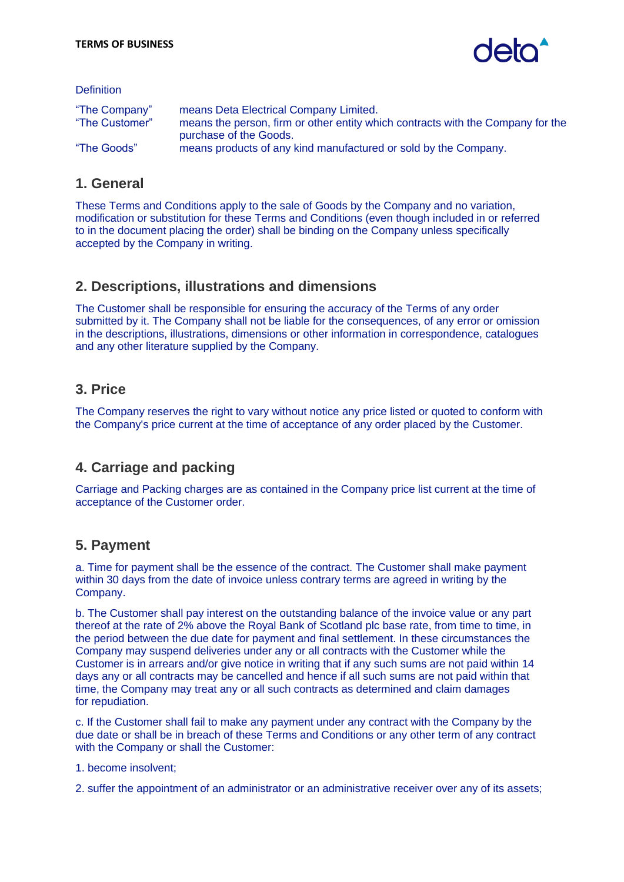

**Definition** 

| "The Company"  | means Deta Electrical Company Limited.                                          |
|----------------|---------------------------------------------------------------------------------|
| "The Customer" | means the person, firm or other entity which contracts with the Company for the |
|                | purchase of the Goods.                                                          |
| "The Goods"    | means products of any kind manufactured or sold by the Company.                 |
|                |                                                                                 |

## **1. General**

These Terms and Conditions apply to the sale of Goods by the Company and no variation, modification or substitution for these Terms and Conditions (even though included in or referred to in the document placing the order) shall be binding on the Company unless specifically accepted by the Company in writing.

## **2. Descriptions, illustrations and dimensions**

The Customer shall be responsible for ensuring the accuracy of the Terms of any order submitted by it. The Company shall not be liable for the consequences, of any error or omission in the descriptions, illustrations, dimensions or other information in correspondence, catalogues and any other literature supplied by the Company.

## **3. Price**

The Company reserves the right to vary without notice any price listed or quoted to conform with the Company's price current at the time of acceptance of any order placed by the Customer.

# **4. Carriage and packing**

Carriage and Packing charges are as contained in the Company price list current at the time of acceptance of the Customer order.

# **5. Payment**

a. Time for payment shall be the essence of the contract. The Customer shall make payment within 30 days from the date of invoice unless contrary terms are agreed in writing by the Company.

b. The Customer shall pay interest on the outstanding balance of the invoice value or any part thereof at the rate of 2% above the Royal Bank of Scotland plc base rate, from time to time, in the period between the due date for payment and final settlement. In these circumstances the Company may suspend deliveries under any or all contracts with the Customer while the Customer is in arrears and/or give notice in writing that if any such sums are not paid within 14 days any or all contracts may be cancelled and hence if all such sums are not paid within that time, the Company may treat any or all such contracts as determined and claim damages for repudiation.

c. If the Customer shall fail to make any payment under any contract with the Company by the due date or shall be in breach of these Terms and Conditions or any other term of any contract with the Company or shall the Customer:

1. become insolvent;

2. suffer the appointment of an administrator or an administrative receiver over any of its assets;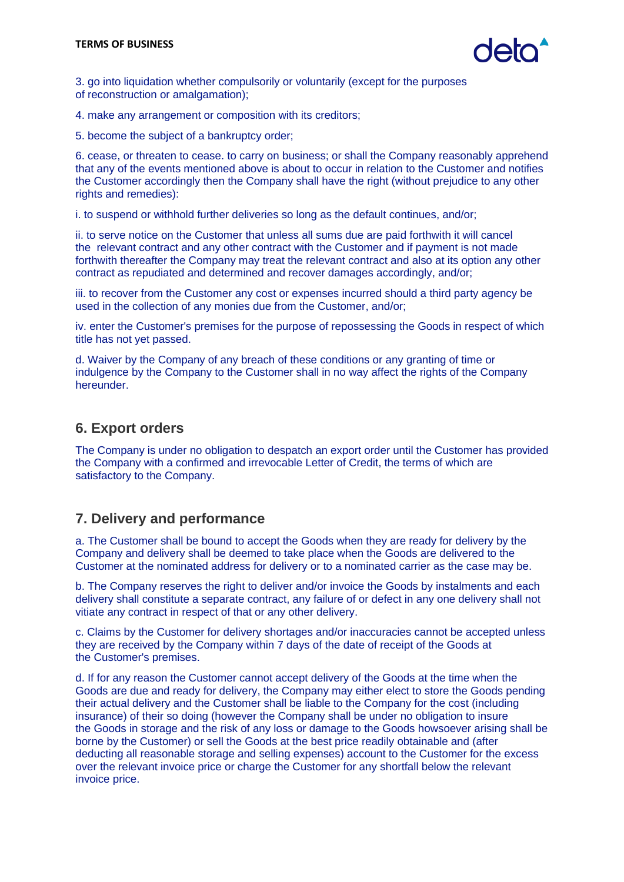3. go into liquidation whether compulsorily or voluntarily (except for the purposes of reconstruction or amalgamation);

4. make any arrangement or composition with its creditors;

5. become the subject of a bankruptcy order;

6. cease, or threaten to cease. to carry on business; or shall the Company reasonably apprehend that any of the events mentioned above is about to occur in relation to the Customer and notifies the Customer accordingly then the Company shall have the right (without prejudice to any other rights and remedies):

i. to suspend or withhold further deliveries so long as the default continues, and/or;

ii. to serve notice on the Customer that unless all sums due are paid forthwith it will cancel the relevant contract and any other contract with the Customer and if payment is not made forthwith thereafter the Company may treat the relevant contract and also at its option any other contract as repudiated and determined and recover damages accordingly, and/or;

iii. to recover from the Customer any cost or expenses incurred should a third party agency be used in the collection of any monies due from the Customer, and/or;

iv. enter the Customer's premises for the purpose of repossessing the Goods in respect of which title has not yet passed.

d. Waiver by the Company of any breach of these conditions or any granting of time or indulgence by the Company to the Customer shall in no way affect the rights of the Company hereunder.

#### **6. Export orders**

The Company is under no obligation to despatch an export order until the Customer has provided the Company with a confirmed and irrevocable Letter of Credit, the terms of which are satisfactory to the Company.

## **7. Delivery and performance**

a. The Customer shall be bound to accept the Goods when they are ready for delivery by the Company and delivery shall be deemed to take place when the Goods are delivered to the Customer at the nominated address for delivery or to a nominated carrier as the case may be.

b. The Company reserves the right to deliver and/or invoice the Goods by instalments and each delivery shall constitute a separate contract, any failure of or defect in any one delivery shall not vitiate any contract in respect of that or any other delivery.

c. Claims by the Customer for delivery shortages and/or inaccuracies cannot be accepted unless they are received by the Company within 7 days of the date of receipt of the Goods at the Customer's premises.

d. If for any reason the Customer cannot accept delivery of the Goods at the time when the Goods are due and ready for delivery, the Company may either elect to store the Goods pending their actual delivery and the Customer shall be liable to the Company for the cost (including insurance) of their so doing (however the Company shall be under no obligation to insure the Goods in storage and the risk of any loss or damage to the Goods howsoever arising shall be borne by the Customer) or sell the Goods at the best price readily obtainable and (after deducting all reasonable storage and selling expenses) account to the Customer for the excess over the relevant invoice price or charge the Customer for any shortfall below the relevant invoice price.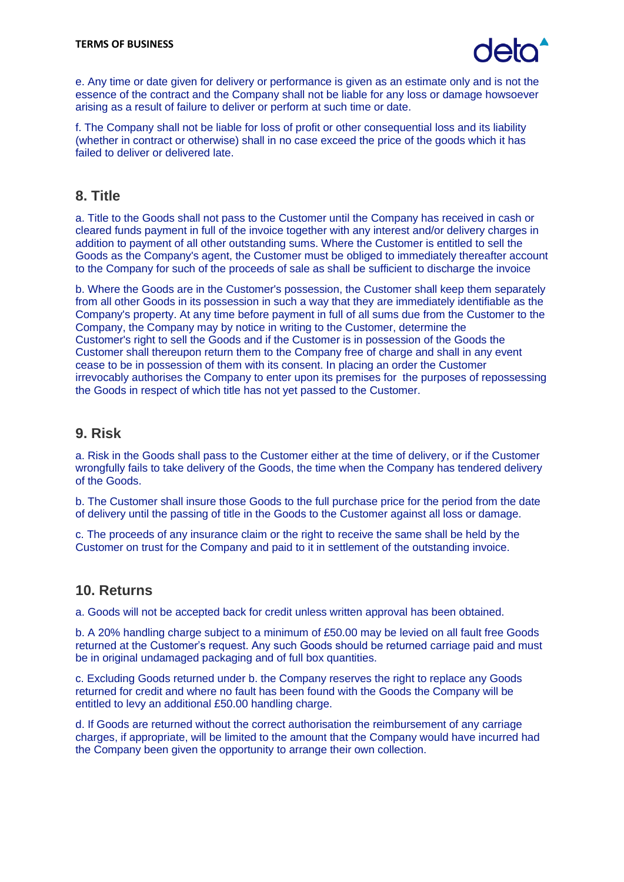

e. Any time or date given for delivery or performance is given as an estimate only and is not the essence of the contract and the Company shall not be liable for any loss or damage howsoever arising as a result of failure to deliver or perform at such time or date.

f. The Company shall not be liable for loss of profit or other consequential loss and its liability (whether in contract or otherwise) shall in no case exceed the price of the goods which it has failed to deliver or delivered late.

#### **8. Title**

a. Title to the Goods shall not pass to the Customer until the Company has received in cash or cleared funds payment in full of the invoice together with any interest and/or delivery charges in addition to payment of all other outstanding sums. Where the Customer is entitled to sell the Goods as the Company's agent, the Customer must be obliged to immediately thereafter account to the Company for such of the proceeds of sale as shall be sufficient to discharge the invoice

b. Where the Goods are in the Customer's possession, the Customer shall keep them separately from all other Goods in its possession in such a way that they are immediately identifiable as the Company's property. At any time before payment in full of all sums due from the Customer to the Company, the Company may by notice in writing to the Customer, determine the Customer's right to sell the Goods and if the Customer is in possession of the Goods the Customer shall thereupon return them to the Company free of charge and shall in any event cease to be in possession of them with its consent. In placing an order the Customer irrevocably authorises the Company to enter upon its premises for the purposes of repossessing the Goods in respect of which title has not yet passed to the Customer.

#### **9. Risk**

a. Risk in the Goods shall pass to the Customer either at the time of delivery, or if the Customer wrongfully fails to take delivery of the Goods, the time when the Company has tendered delivery of the Goods.

b. The Customer shall insure those Goods to the full purchase price for the period from the date of delivery until the passing of title in the Goods to the Customer against all loss or damage.

c. The proceeds of any insurance claim or the right to receive the same shall be held by the Customer on trust for the Company and paid to it in settlement of the outstanding invoice.

#### **10. Returns**

a. Goods will not be accepted back for credit unless written approval has been obtained.

b. A 20% handling charge subject to a minimum of £50.00 may be levied on all fault free Goods returned at the Customer's request. Any such Goods should be returned carriage paid and must be in original undamaged packaging and of full box quantities.

c. Excluding Goods returned under b. the Company reserves the right to replace any Goods returned for credit and where no fault has been found with the Goods the Company will be entitled to levy an additional £50.00 handling charge.

d. If Goods are returned without the correct authorisation the reimbursement of any carriage charges, if appropriate, will be limited to the amount that the Company would have incurred had the Company been given the opportunity to arrange their own collection.